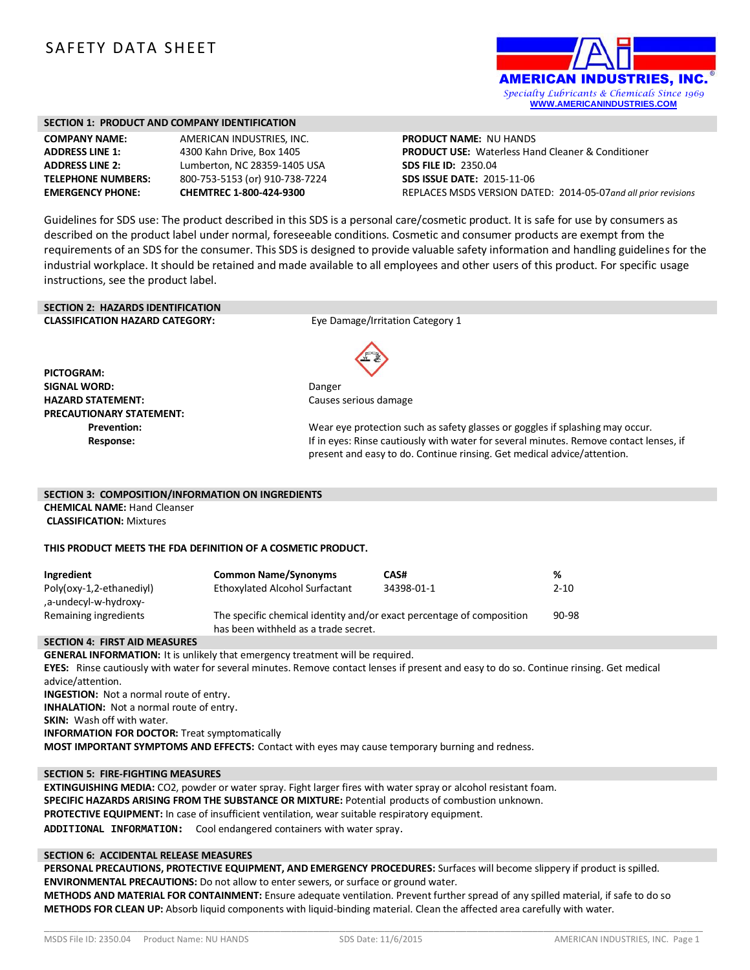# SAFETY DATA SHEET



#### **SECTION 1: PRODUCT AND COMPANY IDENTIFICATION**

| <b>COMPANY NAME:</b>     |
|--------------------------|
| <b>ADDRESS LINE 1:</b>   |
| <b>ADDRESS LINE 2:</b>   |
| <b>TELEPHONE NUMBERS</b> |
| <b>EMERGENCY PHONE:</b>  |

**AMERICAN INDUSTRIES, INC. ADDRESS LINE 1:** 4300 Kahn Drive, Box 1405 **ADDRESS LINE 2:** Lumberton, NC 28359-1405 USA **TELEPHONE NUMBERS:** 800-753-5153 (or) 910-738-7224 **EMERGENCY PHONE: CHEMTREC 1-800-424-9300**

**PRODUCT NAME:** NU HANDS **PRODUCT USE:** Waterless Hand Cleaner & Conditioner **SDS FILE ID:** 2350.04 **SDS ISSUE DATE:** 2015-11-06 REPLACES MSDS VERSION DATED: 2014-05-07*and all prior revisions*

Guidelines for SDS use: The product described in this SDS is a personal care/cosmetic product. It is safe for use by consumers as described on the product label under normal, foreseeable conditions. Cosmetic and consumer products are exempt from the requirements of an SDS for the consumer. This SDS is designed to provide valuable safety information and handling guidelines for the industrial workplace. It should be retained and made available to all employees and other users of this product. For specific usage instructions, see the product label.

# **SECTION 2: HAZARDS IDENTIFICATION**

**CLASSIFICATION HAZARD CATEGORY:** Eye Damage/Irritation Category 1

**PICTOGRAM: SIGNAL WORD:** Danger **HAZARD STATEMENT:** Causes serious damage **PRECAUTIONARY STATEMENT:**



**Prevention:** Wear eye protection such as safety glasses or goggles if splashing may occur. **Response:** The sponse of the eyes: Rinse cautiously with water for several minutes. Remove contact lenses, if present and easy to do. Continue rinsing. Get medical advice/attention.

#### **SECTION 3: COMPOSITION/INFORMATION ON INGREDIENTS**

**CHEMICAL NAME:** Hand Cleanser **CLASSIFICATION:** Mixtures

#### **THIS PRODUCT MEETS THE FDA DEFINITION OF A COSMETIC PRODUCT.**

| Ingredient                                        | <b>Common Name/Synonyms</b>                                                                                   | CAS#       | %        |
|---------------------------------------------------|---------------------------------------------------------------------------------------------------------------|------------|----------|
| Poly(oxy-1,2-ethanediyl)<br>.a-undecyl-w-hydroxy- | Ethoxylated Alcohol Surfactant                                                                                | 34398-01-1 | $2 - 10$ |
| Remaining ingredients                             | The specific chemical identity and/or exact percentage of composition<br>has been withheld as a trade secret. |            | 90-98    |

#### **SECTION 4: FIRST AID MEASURES**

**GENERAL INFORMATION:** It is unlikely that emergency treatment will be required. **EYES:** Rinse cautiously with water for several minutes. Remove contact lenses if present and easy to do so. Continue rinsing. Get medical advice/attention. **INGESTION:** Not a normal route of entry. **INHALATION:** Not a normal route of entry. **SKIN:** Wash off with water. **INFORMATION FOR DOCTOR:** Treat symptomatically **MOST IMPORTANT SYMPTOMS AND EFFECTS:** Contact with eyes may cause temporary burning and redness.

#### **SECTION 5: FIRE-FIGHTING MEASURES**

**EXTINGUISHING MEDIA:** CO2, powder or water spray. Fight larger fires with water spray or alcohol resistant foam. **SPECIFIC HAZARDS ARISING FROM THE SUBSTANCE OR MIXTURE:** Potential products of combustion unknown. **PROTECTIVE EQUIPMENT:** In case of insufficient ventilation, wear suitable respiratory equipment. **ADDITIONAL INFORMATION:** Cool endangered containers with water spray.

#### **SECTION 6: ACCIDENTAL RELEASE MEASURES**

**PERSONAL PRECAUTIONS, PROTECTIVE EQUIPMENT, AND EMERGENCY PROCEDURES:** Surfaces will become slippery if product is spilled. **ENVIRONMENTAL PRECAUTIONS:** Do not allow to enter sewers, or surface or ground water.

**METHODS AND MATERIAL FOR CONTAINMENT:** Ensure adequate ventilation. Prevent further spread of any spilled material, if safe to do so **METHODS FOR CLEAN UP:** Absorb liquid components with liquid-binding material. Clean the affected area carefully with water.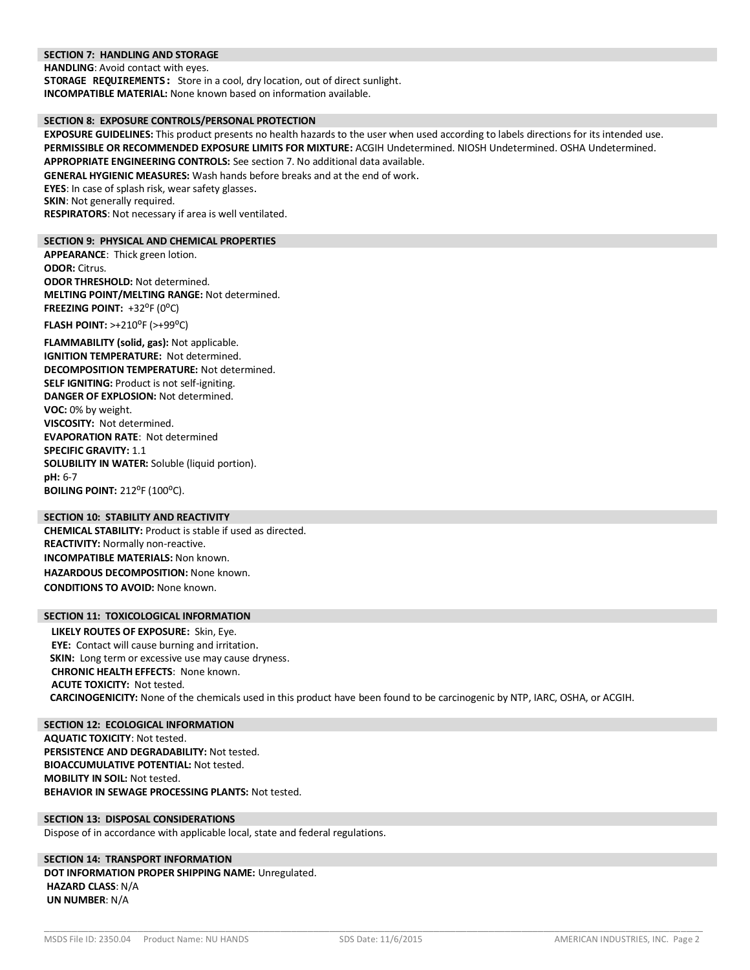#### **SECTION 7: HANDLING AND STORAGE**

**HANDLING**: Avoid contact with eyes.

**STORAGE REQUIREMENTS:** Store in a cool, dry location, out of direct sunlight. **INCOMPATIBLE MATERIAL:** None known based on information available.

#### **SECTION 8: EXPOSURE CONTROLS/PERSONAL PROTECTION**

**EXPOSURE GUIDELINES:** This product presents no health hazards to the user when used according to labels directions for its intended use. **PERMISSIBLE OR RECOMMENDED EXPOSURE LIMITS FOR MIXTURE:** ACGIH Undetermined. NIOSH Undetermined. OSHA Undetermined. **APPROPRIATE ENGINEERING CONTROLS:** See section 7. No additional data available.

**GENERAL HYGIENIC MEASURES:** Wash hands before breaks and at the end of work.

**EYES**: In case of splash risk, wear safety glasses.

**SKIN:** Not generally required.

**RESPIRATORS**: Not necessary if area is well ventilated.

#### **SECTION 9: PHYSICAL AND CHEMICAL PROPERTIES**

**APPEARANCE**: Thick green lotion. **ODOR:** Citrus. **ODOR THRESHOLD:** Not determined. **MELTING POINT/MELTING RANGE:** Not determined. FREEZING POINT: +32<sup>o</sup>F (0<sup>o</sup>C)

**FLASH POINT: >+210<sup>°</sup>F (>+99<sup>°</sup>C)** 

**FLAMMABILITY (solid, gas):** Not applicable. **IGNITION TEMPERATURE:** Not determined. **DECOMPOSITION TEMPERATURE:** Not determined. **SELF IGNITING:** Product is not self-igniting. **DANGER OF EXPLOSION:** Not determined. **VOC:** 0% by weight. **VISCOSITY:** Not determined. **EVAPORATION RATE**: Not determined **SPECIFIC GRAVITY:** 1.1 **SOLUBILITY IN WATER:** Soluble (liquid portion). **pH:** 6-7 **BOILING POINT: 212°F (100°C).** 

## **SECTION 10: STABILITY AND REACTIVITY**

**CHEMICAL STABILITY:** Product is stable if used as directed. **REACTIVITY:** Normally non-reactive. **INCOMPATIBLE MATERIALS:** Non known. **HAZARDOUS DECOMPOSITION:** None known. **CONDITIONS TO AVOID:** None known.

#### **SECTION 11: TOXICOLOGICAL INFORMATION**

**LIKELY ROUTES OF EXPOSURE:** Skin, Eye. **EYE:** Contact will cause burning and irritation. **SKIN:** Long term or excessive use may cause dryness. **CHRONIC HEALTH EFFECTS**: None known. **ACUTE TOXICITY:** Not tested. **CARCINOGENICITY:** None of the chemicals used in this product have been found to be carcinogenic by NTP, IARC, OSHA, or ACGIH.

**SECTION 12: ECOLOGICAL INFORMATION AQUATIC TOXICITY**: Not tested. **PERSISTENCE AND DEGRADABILITY:** Not tested. **BIOACCUMULATIVE POTENTIAL:** Not tested. **MOBILITY IN SOIL:** Not tested. **BEHAVIOR IN SEWAGE PROCESSING PLANTS:** Not tested.

# **SECTION 13: DISPOSAL CONSIDERATIONS**

Dispose of in accordance with applicable local, state and federal regulations.

## **SECTION 14: TRANSPORT INFORMATION DOT INFORMATION PROPER SHIPPING NAME:** Unregulated. **HAZARD CLASS**: N/A **UN NUMBER**: N/A